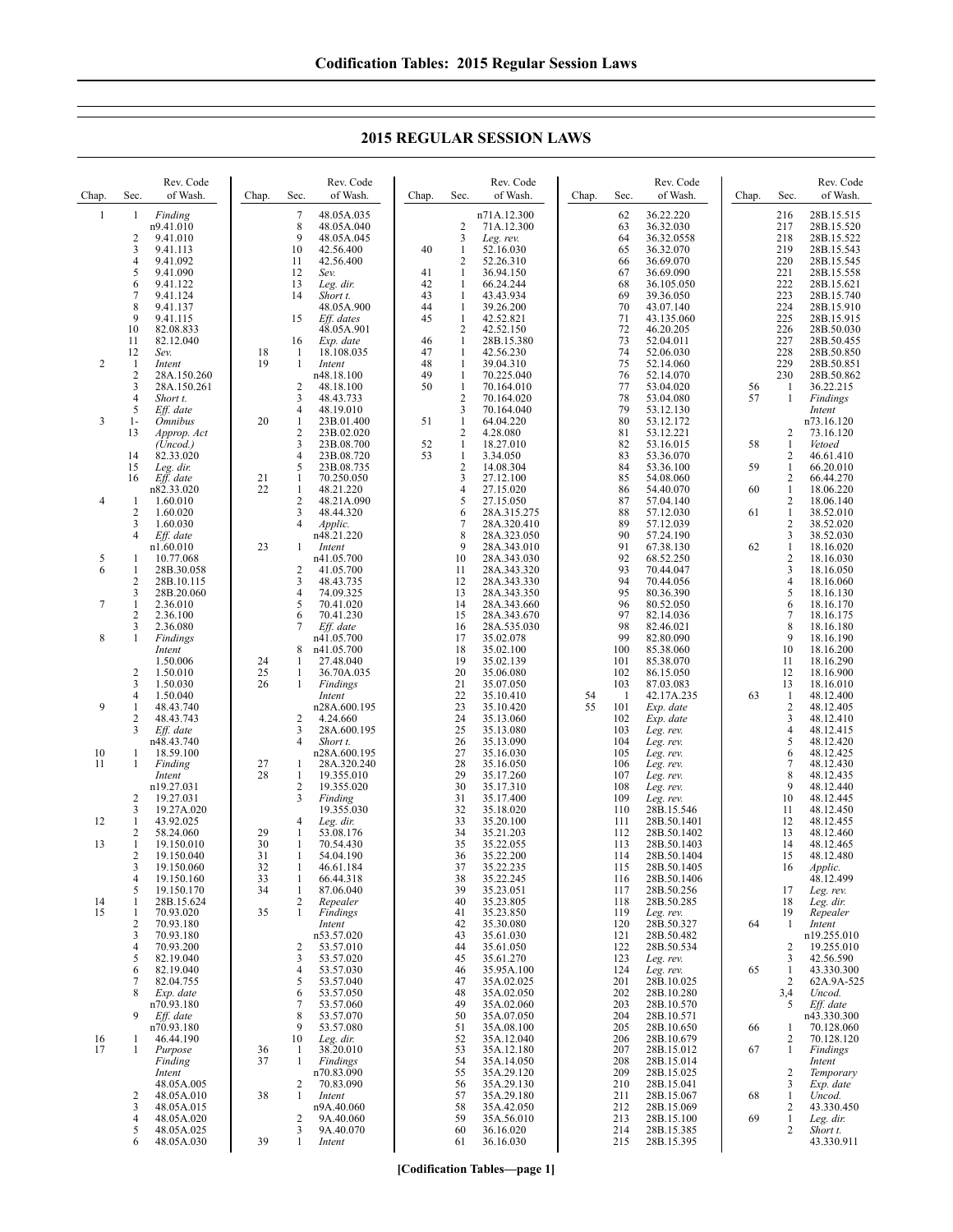**2015 REGULAR SESSION LAWS**

| Chap.          | Sec.                         | Rev. Code<br>of Wash.                  | Chap.    | Rev. Code<br>of Wash.<br>Sec.                            | Chap.           | Rev. Code<br>of Wash.<br>Sec.                                          | Chap. | Sec.           | Rev. Code<br>of Wash.                | Chap. | Sec.                    | Rev. Code<br>of Wash.                  |
|----------------|------------------------------|----------------------------------------|----------|----------------------------------------------------------|-----------------|------------------------------------------------------------------------|-------|----------------|--------------------------------------|-------|-------------------------|----------------------------------------|
| $\mathbf{1}$   | 1<br>2                       | Finding<br>n9.41.010<br>9.41.010       |          | 7<br>48.05A.035<br>8<br>48.05A.040<br>9<br>48.05A.045    |                 | n71A.12.300<br>$\overline{\mathbf{c}}$<br>71A.12.300<br>3<br>Leg. rev. |       | 62<br>63<br>64 | 36.22.220<br>36.32.030<br>36.32.0558 |       | 216<br>217<br>218       | 28B.15.515<br>28B.15.520<br>28B.15.522 |
|                | 3<br>4                       | 9.41.113<br>9.41.092                   |          | 10<br>42.56.400<br>11<br>42.56.400                       | 40              | 1<br>52.16.030<br>2<br>52.26.310                                       |       | 65<br>66       | 36.32.070<br>36.69.070               |       | 219<br>220              | 28B.15.543<br>28B.15.545               |
|                | 5<br>6                       | 9.41.090<br>9.41.122                   |          | 12<br>Sev.<br>13<br>Leg. dir.                            | 41<br>42        | 36.94.150<br>1<br>$\mathbf{1}$<br>66.24.244                            |       | 67<br>68       | 36.69.090<br>36.105.050              |       | 221<br>222              | 28B.15.558<br>28B.15.621               |
|                | 7<br>8                       | 9.41.124                               |          | 14<br>Short t.                                           | 43<br>44        | 43.43.934<br>1                                                         |       | 69<br>70       | 39.36.050                            |       | 223                     | 28B.15.740                             |
|                | 9                            | 9.41.137<br>9.41.115                   |          | 48.05A.900<br>15<br>Eff. dates                           | 45              | 1<br>39.26.200<br>42.52.821<br>$\mathbf{1}$                            |       | 71             | 43.07.140<br>43.135.060              |       | 224<br>225              | 28B.15.910<br>28B.15.915               |
|                | 10<br>11                     | 82.08.833<br>82.12.040                 |          | 48.05A.901<br>16<br>Exp. date                            | 46              | $\overline{2}$<br>42.52.150<br>1<br>28B.15.380                         |       | 72<br>73       | 46.20.205<br>52.04.011               |       | 226<br>227              | 28B.50.030<br>28B.50.455               |
| $\overline{2}$ | 12<br>-1                     | Sev.<br>Intent                         | 18<br>19 | 1<br>18.108.035<br>1<br>Intent                           | 47<br>48        | 1<br>42.56.230<br>1<br>39.04.310                                       |       | 74<br>75       | 52.06.030<br>52.14.060               |       | 228<br>229              | 28B.50.850<br>28B.50.851               |
|                | $\overline{\mathbf{c}}$<br>3 | 28A.150.260<br>28A.150.261             |          | n48.18.100<br>2<br>48.18.100                             | 49<br>50        | 1<br>70.225.040<br>$\mathbf{1}$<br>70.164.010                          |       | 76<br>77       | 52.14.070<br>53.04.020               | 56    | 230<br>1                | 28B.50.862<br>36.22.215                |
|                | 4<br>5                       | Short t.<br>Eff. date                  |          | 3<br>48.43.733<br>$\overline{4}$<br>48.19.010            |                 | $\overline{2}$<br>70.164.020<br>3<br>70.164.040                        |       | 78<br>79       | 53.04.080<br>53.12.130               | 57    | 1                       | Findings<br>Intent                     |
| 3              | 1-<br>13                     | <i><b>Omnibus</b></i><br>Approp. Act   | 20       | 1<br>23B.01.400<br>$\overline{\mathbf{c}}$<br>23B.02.020 | 51              | $\mathbf{1}$<br>64.04.220<br>$\overline{c}$<br>4.28.080                |       | 80<br>81       | 53.12.172<br>53.12.221               |       | 2                       | n73.16.120<br>73.16.120                |
|                | 14                           | (Uncod.)<br>82.33.020                  |          | 3<br>23B.08.700<br>4<br>23B.08.720                       | $\frac{52}{53}$ | 18.27.010<br>1<br>$\mathbf{1}$<br>3.34.050                             |       | 82<br>83       | 53.16.015<br>53.36.070               | 58    | 1<br>2                  | Vetoed<br>46.61.410                    |
|                | 15<br>16                     | Leg. dir.<br>Eff. date                 | 21       | 5<br>23B.08.735<br>1<br>70.250.050                       |                 | $\overline{c}$<br>14.08.304<br>3<br>27.12.100                          |       | 84<br>85       | 53.36.100<br>54.08.060               | 59    | 1<br>2                  | 66.20.010<br>66.44.270                 |
| 4              | 1                            | n82.33.020<br>1.60.010                 | 22       | 1<br>48.21.220<br>2<br>48.21A.090                        |                 | 4<br>27.15.020<br>5<br>27.15.050                                       |       | 86<br>87       | 54.40.070<br>57.04.140               | 60    | 1<br>2                  | 18.06.220<br>18.06.140                 |
|                | $\overline{2}$<br>3          | 1.60.020<br>1.60.030                   |          | 3<br>48.44.320<br>4<br>Applic.                           |                 | 28A.315.275<br>6<br>7<br>28A.320.410                                   |       | 88<br>89       | 57.12.030<br>57.12.039               | 61    | $\mathbf{1}$<br>2       | 38.52.010<br>38.52.020                 |
|                | 4                            | Eff. date                              | 23       | n48.21.220                                               |                 | 8<br>28A.323.050<br>9                                                  |       | 90<br>91       | 57.24.190                            | 62    | 3<br>1                  | 38.52.030                              |
| 5              | 1                            | n1.60.010<br>10.77.068                 |          | Intent<br>1<br>n41.05.700                                |                 | 28A.343.010<br>10<br>28A.343.030                                       |       | 92             | 67.38.130<br>68.52.250               |       | $\overline{\mathbf{c}}$ | 18.16.020<br>18.16.030                 |
| 6              | 1<br>$\overline{2}$          | 28B.30.058<br>28B.10.115               |          | 2<br>41.05.700<br>3<br>48.43.735                         |                 | 11<br>28A.343.320<br>12<br>28A.343.330                                 |       | 93<br>94       | 70.44.047<br>70.44.056               |       | 3<br>4                  | 18.16.050<br>18.16.060                 |
| 7              | 3<br>1                       | 28B.20.060<br>2.36.010                 |          | 4<br>74.09.325<br>5<br>70.41.020                         |                 | 13<br>28A.343.350<br>14<br>28A.343.660                                 |       | 95<br>96       | 80.36.390<br>80.52.050               |       | 5<br>6                  | 18.16.130<br>18.16.170                 |
|                | 2<br>3                       | 2.36.100<br>2.36.080                   |          | 6<br>70.41.230<br>7<br>Eff. date                         |                 | 15<br>28A.343.670<br>28A.535.030<br>16                                 |       | 97<br>98       | 82.14.036<br>82.46.021               |       | 7<br>8                  | 18.16.175<br>18.16.180                 |
| 8              | 1                            | Findings<br>Intent                     |          | n41.05.700<br>n41.05.700<br>8                            |                 | 17<br>35.02.078<br>35.02.100<br>18                                     |       | 99<br>100      | 82.80.090<br>85.38.060               |       | 9<br>10                 | 18.16.190<br>18.16.200                 |
|                | 2                            | 1.50.006<br>1.50.010                   | 24<br>25 | 27.48.040<br>1<br>36.70A.035<br>1                        |                 | 19<br>35.02.139<br>20<br>35.06.080                                     |       | 101<br>102     | 85.38.070<br>86.15.050               |       | 11<br>12                | 18.16.290<br>18.16.900                 |
|                | 3<br>4                       | 1.50.030<br>1.50.040                   | 26       | 1<br>Findings<br>Intent                                  |                 | 21<br>35.07.050<br>22<br>35.10.410                                     | 54    | 103<br>-1      | 87.03.083<br>42.17A.235              | 63    | 13<br>1                 | 18.16.010<br>48.12.400                 |
| 9              | 1<br>2                       | 48.43.740<br>48.43.743                 |          | n28A.600.195<br>2<br>4.24.660                            |                 | 23<br>35.10.420<br>24<br>35.13.060                                     | 55    | 101<br>102     | Exp. date<br>Exp. date               |       | $\boldsymbol{2}$<br>3   | 48.12.405<br>48.12.410                 |
|                | 3                            | Eff. date<br>n48.43.740                |          | 3<br>28A.600.195<br>$\overline{4}$<br>Short t.           |                 | 25<br>35.13.080<br>26<br>35.13.090                                     |       | 103<br>104     | Leg. rev.<br>Leg. rev.               |       | 4<br>5                  | 48.12.415<br>48.12.420                 |
| 10<br>11       | 1<br>1                       | 18.59.100<br>Finding                   | 27       | n28A.600.195<br>28A.320.240<br>1                         |                 | 27<br>35.16.030<br>28<br>35.16.050                                     |       | 105<br>106     | Leg. rev.<br>Leg. rev.               |       | 6<br>7                  | 48.12.425<br>48.12.430                 |
|                |                              | Intent<br>n19.27.031                   | 28       | 1<br>19.355.010<br>2<br>19.355.020                       |                 | 29<br>35.17.260<br>30<br>35.17.310                                     |       | 107<br>108     | Leg. rev.<br>Leg. rev.               |       | 8<br>9                  | 48.12.435<br>48.12.440                 |
|                | 2<br>3                       | 19.27.031<br>19.27A.020                |          | 3<br>Finding<br>19.355.030                               |                 | 31<br>35.17.400<br>32<br>35.18.020                                     |       | 109<br>110     | Leg. rev.<br>28B.15.546              |       | 10<br>11                | 48.12.445<br>48.12.450                 |
| 12             | 1<br>$\overline{2}$          | 43.92.025<br>58.24.060                 | 29       | 4<br>Leg. dir.<br>53.08.176                              |                 | 33<br>35.20.100<br>34<br>35.21.203                                     |       | 111<br>112     | 28B.50.1401<br>28B.50.1402           |       | 12<br>13                | 48.12.455<br>48.12.460                 |
| 13             | 1<br>2                       | 19.150.010                             | 30<br>31 | 70.54.430<br>1<br>1                                      |                 | 35<br>35.22.055<br>36                                                  |       | 113<br>114     | 28B.50.1403<br>28B.50.1404           |       | 14<br>15                | 48.12.465                              |
|                | 3<br>$\overline{4}$          | 19.150.040<br>19.150.060<br>19.150.160 | 32<br>33 | 54.04.190<br>46.61.184<br>1<br>66.44.318<br>1            |                 | 35.22.200<br>37<br>35.22.235<br>35.22.245<br>38                        |       | 115<br>116     | 28B.50.1405<br>28B.50.1406           |       | 16                      | 48.12.480<br>Applic.<br>48.12.499      |
|                | 5                            | 19.150.170                             | 34       | $\mathbf{1}$<br>87.06.040                                |                 | 35.23.051<br>39                                                        |       | 117            | 28B.50.256                           |       | 17                      | Leg. rev.                              |
| 14<br>15       | 1<br>$\mathbf{1}$            | 28B.15.624<br>70.93.020                | 35       | 2<br>Repealer<br>$\mathbf{1}$<br>Findings                |                 | 40<br>35.23.805<br>41<br>35.23.850                                     |       | 118<br>119     | 28B.50.285<br>Leg. rev.              |       | 18<br>19                | Leg. dir.<br>Repealer                  |
|                | 2<br>3                       | 70.93.180<br>70.93.180                 |          | Intent<br>n53.57.020                                     |                 | 42<br>35.30.080<br>35.61.030<br>43                                     |       | 120<br>121     | 28B.50.327<br>28B.50.482             | 64    | 1                       | Intent<br>n19.255.010                  |
|                | 4<br>5                       | 70.93.200<br>82.19.040                 |          | 2<br>53.57.010<br>3<br>53.57.020                         |                 | 44<br>35.61.050<br>35.61.270<br>45                                     |       | 122<br>123     | 28B.50.534<br>Leg. rev.              |       | 2<br>3                  | 19.255.010<br>42.56.590                |
|                | 6<br>7                       | 82.19.040<br>82.04.755                 |          | 4<br>53.57.030<br>5<br>53.57.040                         |                 | 35.95A.100<br>46<br>35A.02.025<br>47                                   |       | 124<br>201     | Leg. rev.<br>28B.10.025              | 65    | $\mathbf{1}$<br>2       | 43.330.300<br>62A.9A-525               |
|                | 8                            | Exp. date<br>n70.93.180                |          | 6<br>53.57.050<br>7<br>53.57.060                         |                 | 48<br>35A.02.050<br>49<br>35A.02.060                                   |       | 202<br>203     | 28B.10.280<br>28B.10.570             |       | 3,4<br>5                | Uncod.<br>Eff. date                    |
|                | 9                            | Eff. date<br>n70.93.180                |          | 8<br>53.57.070<br>9<br>53.57.080                         |                 | 50<br>35A.07.050<br>51<br>35A.08.100                                   |       | 204<br>205     | 28B.10.571<br>28B.10.650             | 66    | 1                       | n43.330.300<br>70.128.060              |
| 16<br>17       | 1<br>1                       | 46.44.190<br>Purpose                   | 36       | 10<br>Leg. dir.<br>38.20.010<br>1                        |                 | 52<br>35A.12.040<br>53<br>35A.12.180                                   |       | 206<br>207     | 28B.10.679<br>28B.15.012             | 67    | 2<br>$\mathbf{1}$       | 70.128.120<br>Findings                 |
|                |                              | Finding<br>Intent                      | 37       | $\mathbf{1}$<br>Findings<br>n70.83.090                   |                 | 54<br>35A.14.050<br>55<br>35A.29.120                                   |       | 208<br>209     | 28B.15.014<br>28B.15.025             |       | 2                       | Intent<br>Temporary                    |
|                | 2                            | 48.05A.005<br>48.05A.010               | 38       | 2<br>70.83.090<br>1<br>Intent                            |                 | 35A.29.130<br>56<br>57<br>35A.29.180                                   |       | 210<br>211     | 28B.15.041<br>28B.15.067             | 68    | 3<br>$\mathbf{1}$       | Exp. date<br>Uncod.                    |
|                | 3<br>4                       | 48.05A.015<br>48.05A.020               |          | n9A.40.060<br>9A.40.060<br>2                             |                 | 35A.42.050<br>58<br>59<br>35A.56.010                                   |       | 212<br>213     | 28B.15.069<br>28B.15.100             | 69    | 2<br>$\mathbf{1}$       | 43.330.450<br>Leg. dir.                |
|                | $\sqrt{5}$<br>6              | 48.05A.025<br>48.05A.030               | 39       | 3<br>9A.40.070<br>$\mathbf{1}$<br>Intent                 |                 | 36.16.020<br>60<br>36.16.030<br>61                                     |       | 214<br>215     | 28B.15.385<br>28B.15.395             |       | 2                       | Short t.<br>43.330.911                 |

**[Codification Tables—page 1]**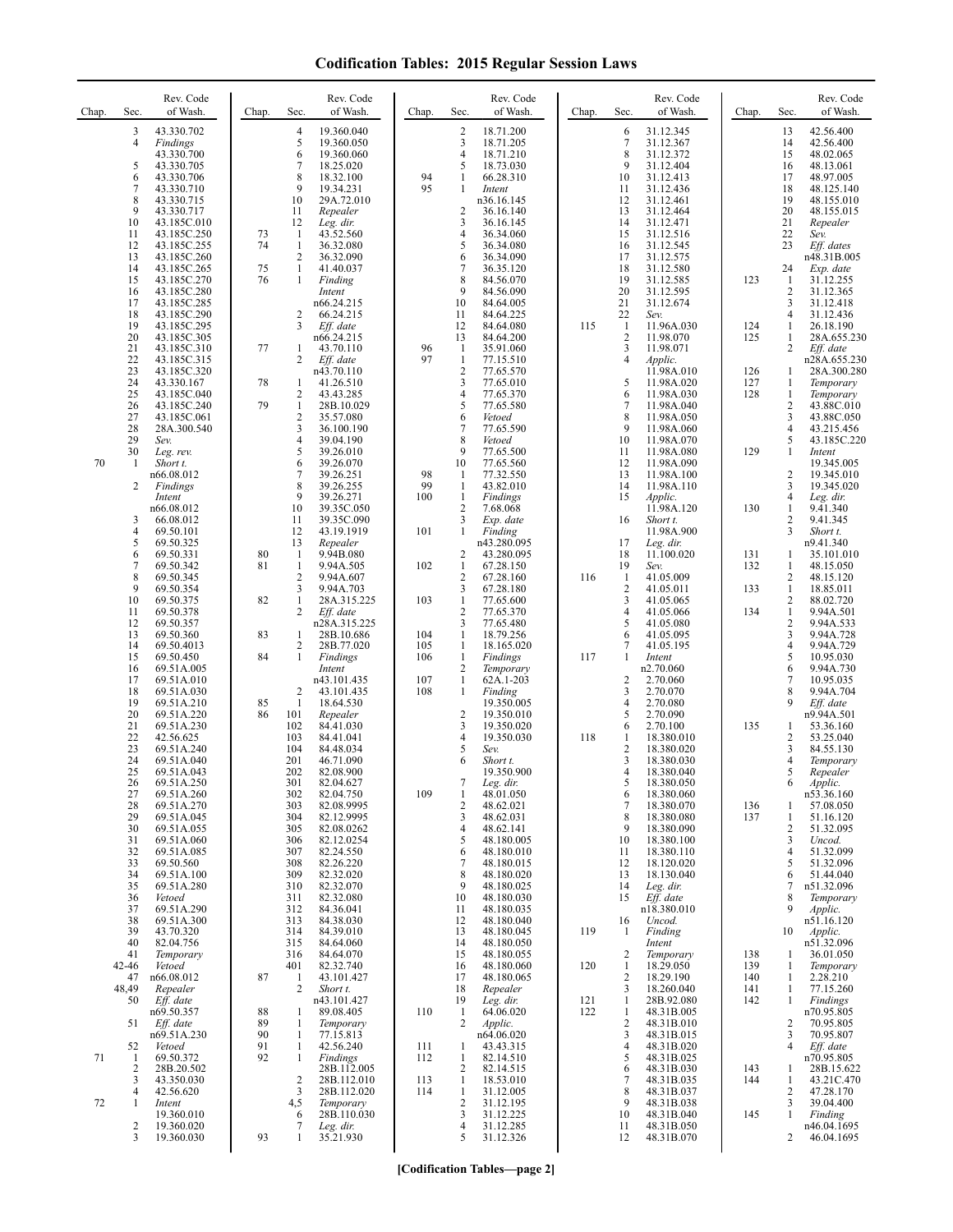| Chap.    | Sec.                                                                     | Rev. Code<br>of Wash.                                                                                                                                   | Chap.                | Sec.                                                                      | Rev. Code<br>of Wash.                                                                                                                           | Chap.                    | Sec.                                                                                | Rev. Code<br>of Wash.                                                                                                                              | Chap.                    | Sec.                                                                      | Rev. Code<br>of Wash.                                                                                                                       | Chap.                           | Sec.                                                                | Rev. Code<br>of Wash.                                                                                                                     |
|----------|--------------------------------------------------------------------------|---------------------------------------------------------------------------------------------------------------------------------------------------------|----------------------|---------------------------------------------------------------------------|-------------------------------------------------------------------------------------------------------------------------------------------------|--------------------------|-------------------------------------------------------------------------------------|----------------------------------------------------------------------------------------------------------------------------------------------------|--------------------------|---------------------------------------------------------------------------|---------------------------------------------------------------------------------------------------------------------------------------------|---------------------------------|---------------------------------------------------------------------|-------------------------------------------------------------------------------------------------------------------------------------------|
|          | 3<br>$\overline{4}$<br>5<br>6<br>7<br>$\,$ 8 $\,$<br>9<br>10<br>11<br>12 | 43.330.702<br>Findings<br>43.330.700<br>43.330.705<br>43.330.706<br>43.330.710<br>43.330.715<br>43.330.717<br>43.185C.010<br>43.185C.250<br>43.185C.255 | 73<br>74             | 4<br>5<br>6<br>7<br>8<br>9<br>10<br>11<br>12<br>-1<br>$\mathbf{1}$        | 19.360.040<br>19.360.050<br>19.360.060<br>18.25.020<br>18.32.100<br>19.34.231<br>29A.72.010<br>Repealer<br>Leg. dir.<br>43.52.560<br>36.32.080  | 94<br>95                 | 2<br>3<br>$\overline{4}$<br>5<br>1<br>$\mathbf{1}$<br>$\overline{c}$<br>3<br>4<br>5 | 18.71.200<br>18.71.205<br>18.71.210<br>18.73.030<br>66.28.310<br>Intent<br>n36.16.145<br>36.16.140<br>36.16.145<br>36.34.060<br>36.34.080          |                          | 6<br>$\tau$<br>$\,$ 8 $\,$<br>9<br>10<br>11<br>12<br>13<br>14<br>15<br>16 | 31.12.345<br>31.12.367<br>31.12.372<br>31.12.404<br>31.12.413<br>31.12.436<br>31.12.461<br>31.12.464<br>31.12.471<br>31.12.516<br>31.12.545 |                                 | 13<br>14<br>15<br>16<br>17<br>18<br>19<br>20<br>21<br>22<br>23      | 42.56.400<br>42.56.400<br>48.02.065<br>48.13.061<br>48.97.005<br>48.125.140<br>48.155.010<br>48.155.015<br>Repealer<br>Sev.<br>Eff. dates |
|          | 13<br>14<br>15<br>16<br>17<br>18<br>19                                   | 43.185C.260<br>43.185C.265<br>43.185C.270<br>43.185C.280<br>43.185C.285<br>43.185C.290<br>43.185C.295                                                   | 75<br>76             | $\overline{2}$<br>$\mathbf{1}$<br>$\mathbf{1}$<br>2<br>3                  | 36.32.090<br>41.40.037<br>Finding<br>Intent<br>n66.24.215<br>66.24.215<br>Eff. date                                                             |                          | 6<br>7<br>8<br>9<br>10<br>11<br>12                                                  | 36.34.090<br>36.35.120<br>84.56.070<br>84.56.090<br>84.64.005<br>84.64.225<br>84.64.080                                                            | 115                      | 17<br>18<br>19<br>20<br>21<br>22<br>$\mathbf{1}$                          | 31.12.575<br>31.12.580<br>31.12.585<br>31.12.595<br>31.12.674<br>Sev.<br>11.96A.030                                                         | 123<br>124                      | 24<br>$\mathbf{1}$<br>2<br>3<br>4<br>$\mathbf{1}$                   | n48.31B.005<br>Exp. date<br>31.12.255<br>31.12.365<br>31.12.418<br>31.12.436<br>26.18.190                                                 |
|          | 20<br>21<br>22<br>23<br>24                                               | 43.185C.305<br>43.185C.310<br>43.185C.315<br>43.185C.320<br>43.330.167                                                                                  | 77<br>78             | $\mathbf{1}$<br>2<br>1                                                    | n66.24.215<br>43.70.110<br>Eff. date<br>n43.70.110<br>41.26.510                                                                                 | 96<br>97                 | 13<br>$\mathbf{1}$<br>$\mathbf{1}$<br>$\overline{2}$<br>3                           | 84.64.200<br>35.91.060<br>77.15.510<br>77.65.570<br>77.65.010                                                                                      |                          | $\overline{2}$<br>3<br>4<br>5                                             | 11.98.070<br>11.98.071<br>Applic.<br>11.98A.010<br>11.98A.020                                                                               | 125<br>126<br>127               | 1<br>$\overline{2}$<br>1<br>1                                       | 28A.655.230<br>Eff. date<br>n28A.655.230<br>28A.300.280<br>Temporary                                                                      |
|          | 25<br>26<br>27<br>28<br>29<br>30                                         | 43.185C.040<br>43.185C.240<br>43.185C.061<br>28A.300.540<br>Sev.<br>Leg. rev.                                                                           | 79                   | 2<br>$\mathbf{1}$<br>$\overline{c}$<br>3<br>4<br>5                        | 43.43.285<br>28B.10.029<br>35.57.080<br>36.100.190<br>39.04.190<br>39.26.010                                                                    |                          | 4<br>5<br>6<br>7<br>8<br>9                                                          | 77.65.370<br>77.65.580<br>Vetoed<br>77.65.590<br>Vetoed<br>77.65.500                                                                               |                          | 6<br>7<br>8<br>9<br>10<br>11                                              | 11.98A.030<br>11.98A.040<br>11.98A.050<br>11.98A.060<br>11.98A.070<br>11.98A.080                                                            | 128<br>129                      | $\mathbf{1}$<br>2<br>3<br>4<br>5<br>$\mathbf{1}$                    | Temporary<br>43.88C.010<br>43.88C.050<br>43.215.456<br>43.185C.220<br>Intent                                                              |
| 70       | -1<br>2<br>3                                                             | Short t.<br>n66.08.012<br>Findings<br>Intent<br>n66.08.012<br>66.08.012                                                                                 |                      | 6<br>7<br>8<br>9<br>10<br>11                                              | 39.26.070<br>39.26.251<br>39.26.255<br>39.26.271<br>39.35C.050<br>39.35C.090                                                                    | 98<br>99<br>100          | 10<br>$\mathbf{1}$<br>$\mathbf{1}$<br>$\mathbf{1}$<br>2<br>3                        | 77.65.560<br>77.32.550<br>43.82.010<br>Findings<br>7.68.068<br>Exp. date                                                                           |                          | 12<br>13<br>14<br>15<br>16                                                | 11.98A.090<br>11.98A.100<br>11.98A.110<br>Applic.<br>11.98A.120<br>Short t.                                                                 | 130                             | $\overline{\mathbf{c}}$<br>3<br>$\overline{4}$<br>$\mathbf{1}$<br>2 | 19.345.005<br>19.345.010<br>19.345.020<br>Leg. dir.<br>9.41.340<br>9.41.345                                                               |
|          | $\overline{4}$<br>5<br>6<br>$\tau$<br>$\,$ 8 $\,$<br>9                   | 69.50.101<br>69.50.325<br>69.50.331<br>69.50.342<br>69.50.345<br>69.50.354                                                                              | 80<br>81             | 12<br>13<br>$\mathbf{1}$<br>$\mathbf{1}$<br>$\sqrt{2}$<br>3               | 43.19.1919<br>Repealer<br>9.94B.080<br>9.94A.505<br>9.94A.607<br>9.94A.703                                                                      | 101<br>102               | 1<br>2<br>$\mathbf{1}$<br>$\overline{c}$<br>3                                       | Finding<br>n43.280.095<br>43.280.095<br>67.28.150<br>67.28.160<br>67.28.180                                                                        | 116                      | 17<br>18<br>19<br>$\mathbf{1}$<br>$\sqrt{2}$                              | 11.98A.900<br>Leg. dir.<br>11.100.020<br>Sev.<br>41.05.009<br>41.05.011                                                                     | 131<br>132<br>133               | 3<br>1<br>1<br>2<br>$\mathbf{1}$                                    | Short t.<br>n9.41.340<br>35.101.010<br>48.15.050<br>48.15.120<br>18.85.011                                                                |
|          | 10<br>11<br>12<br>13<br>14<br>15                                         | 69.50.375<br>69.50.378<br>69.50.357<br>69.50.360<br>69.50.4013<br>69.50.450                                                                             | 82<br>83<br>84       | $\mathbf{1}$<br>$\overline{c}$<br>1<br>2<br>$\mathbf{1}$                  | 28A.315.225<br>Eff. date<br>n28A.315.225<br>28B.10.686<br>28B.77.020<br>Findings                                                                | 103<br>104<br>105<br>106 | $\mathbf{1}$<br>$\overline{2}$<br>3<br>$\mathbf{1}$<br>$\mathbf{1}$<br>$\mathbf{1}$ | 77.65.600<br>77.65.370<br>77.65.480<br>18.79.256<br>18.165.020<br>Findings                                                                         | 117                      | 3<br>4<br>5<br>6<br>7<br>$\mathbf{1}$                                     | 41.05.065<br>41.05.066<br>41.05.080<br>41.05.095<br>41.05.195<br>Intent                                                                     | 134                             | $\overline{c}$<br>$\mathbf{1}$<br>2<br>3<br>$\overline{4}$<br>5     | 88.02.720<br>9.94A.501<br>9.94A.533<br>9.94A.728<br>9.94A.729<br>10.95.030                                                                |
|          | 16<br>17<br>18<br>19<br>20<br>21                                         | 69.51A.005<br>69.51A.010<br>69.51A.030<br>69.51A.210<br>69.51A.220<br>69.51A.230                                                                        | 85<br>86             | 2<br>-1<br>101<br>102                                                     | Intent<br>n43.101.435<br>43.101.435<br>18.64.530<br>Repealer<br>84.41.030                                                                       | 107<br>108               | 2<br>$\mathbf{1}$<br>$\mathbf{1}$<br>2<br>3                                         | Temporary<br>62A.1-203<br>Finding<br>19.350.005<br>19.350.010<br>19.350.020                                                                        |                          | $\overline{\mathbf{c}}$<br>3<br>4<br>5<br>6                               | n2.70.060<br>2.70.060<br>2.70.070<br>2.70.080<br>2.70.090<br>2.70.100                                                                       | 135                             | 6<br>7<br>8<br>9<br>1                                               | 9.94A.730<br>10.95.035<br>9.94A.704<br>Eff. date<br>n9.94A.501<br>53.36.160                                                               |
|          | 22<br>23<br>24<br>25<br>26<br>27                                         | 42.56.625<br>69.51A.240<br>69.51A.040<br>69.51A.043<br>69.51A.250<br>69.51A.260                                                                         |                      | 103<br>104<br>201<br>202<br>301                                           | 84.41.041<br>84.48.034<br>46.71.090<br>82.08.900<br>82.04.627                                                                                   | 109                      | 4<br>5<br>6<br>1                                                                    | 19.350.030<br>Sev.<br>Short t.<br>19.350.900<br>Leg. dir.                                                                                          | 118                      | 1<br>2<br>3<br>4<br>ͻ<br>6                                                | 18.380.010<br>18.380.020<br>18.380.030<br>18.380.040<br>18.380.050<br>18.380.060                                                            |                                 | 2<br>3<br>4<br>5                                                    | 53.25.040<br>84.55.130<br>Temporary<br>Repealer<br>Applic.                                                                                |
|          | 28<br>29<br>30<br>31<br>32<br>33<br>34<br>35<br>36<br>37                 | 69.51A.270<br>69.51A.045<br>69.51A.055<br>69.51A.060<br>69.51A.085<br>69.50.560<br>69.51A.100<br>69.51A.280<br>Vetoed<br>69.51A.290                     |                      | 302<br>303<br>304<br>305<br>306<br>307<br>308<br>309<br>310<br>311<br>312 | 82.04.750<br>82.08.9995<br>82.12.9995<br>82.08.0262<br>82.12.0254<br>82.24.550<br>82.26.220<br>82.32.020<br>82.32.070<br>82.32.080<br>84.36.041 |                          | $\sqrt{2}$<br>3<br>4<br>5<br>6<br>7<br>8<br>9<br>10<br>11                           | 48.01.050<br>48.62.021<br>48.62.031<br>48.62.141<br>48.180.005<br>48.180.010<br>48.180.015<br>48.180.020<br>48.180.025<br>48.180.030<br>48.180.035 |                          | $\tau$<br>8<br>9<br>10<br>11<br>12<br>13<br>14<br>15                      | 18.380.070<br>18.380.080<br>18.380.090<br>18.380.100<br>18.380.110<br>18.120.020<br>18.130.040<br>Leg. dir.<br>Eff. date<br>n18.380.010     | 136<br>137                      | 1<br>1<br>2<br>3<br>$\overline{4}$<br>5<br>6<br>7<br>8<br>9         | n53.36.160<br>57.08.050<br>51.16.120<br>51.32.095<br>Uncod.<br>51.32.099<br>51.32.096<br>51.44.040<br>n51.32.096<br>Temporary<br>Applic.  |
|          | 38<br>39<br>40<br>41<br>42-46<br>47<br>48,49<br>50                       | 69.51A.300<br>43.70.320<br>82.04.756<br>Temporary<br>Vetoed<br>n66.08.012<br>Repealer<br>Eff. date<br>n69.50.357                                        | 87<br>88             | 313<br>314<br>315<br>316<br>401<br>$\mathbf{1}$<br>$\overline{c}$<br>1    | 84.38.030<br>84.39.010<br>84.64.060<br>84.64.070<br>82.32.740<br>43.101.427<br>Short t.<br>n43.101.427<br>89.08.405                             | 110                      | 12<br>13<br>14<br>15<br>16<br>17<br>18<br>19<br>$\mathbf{1}$                        | 48.180.040<br>48.180.045<br>48.180.050<br>48.180.055<br>48.180.060<br>48.180.065<br>Repealer<br>Leg. dir.<br>64.06.020                             | 119<br>120<br>121<br>122 | 16<br>1<br>2<br>1<br>2<br>3<br>1<br>1                                     | Uncod.<br>Finding<br>Intent<br>Temporary<br>18.29.050<br>18.29.190<br>18.260.040<br>28B.92.080<br>48.31B.005                                | 138<br>139<br>140<br>141<br>142 | 10<br>1<br>1<br>1<br>1<br>1                                         | n51.16.120<br>Applic.<br>n51.32.096<br>36.01.050<br>Temporary<br>2.28.210<br>77.15.260<br>Findings<br>n70.95.805                          |
| 71<br>72 | 51<br>52<br>$\mathbf{1}$<br>2<br>3<br>$\overline{4}$<br>$\mathbf{1}$     | Eff. date<br>n69.51A.230<br>Vetoed<br>69.50.372<br>28B.20.502<br>43.350.030<br>42.56.620<br>Intent<br>19.360.010                                        | 89<br>90<br>91<br>92 | 1<br>1<br>1<br>1<br>2<br>3<br>4,5<br>6                                    | Temporary<br>77.15.813<br>42.56.240<br>Findings<br>28B.112.005<br>28B.112.010<br>28B.112.020<br>Temporary<br>28B.110.030                        | 111<br>112<br>113<br>114 | 2<br>$\mathbf{1}$<br>$\mathbf{1}$<br>2<br>1<br>$\mathbf{1}$<br>2<br>3               | Applic.<br>n64.06.020<br>43.43.315<br>82.14.510<br>82.14.515<br>18.53.010<br>31.12.005<br>31.12.195<br>31.12.225                                   |                          | 2<br>3<br>4<br>5<br>6<br>7<br>8<br>9<br>10                                | 48.31B.010<br>48.31B.015<br>48.31B.020<br>48.31B.025<br>48.31B.030<br>48.31B.035<br>48.31B.037<br>48.31B.038<br>48.31B.040                  | 143<br>144<br>145               | 2<br>3<br>4<br>1<br>1<br>2<br>3<br>1                                | 70.95.805<br>70.95.807<br>Eff. date<br>n70.95.805<br>28B.15.622<br>43.21C.470<br>47.28.170<br>39.04.400<br>Finding                        |
|          | $\overline{2}$<br>3                                                      | 19.360.020<br>19.360.030                                                                                                                                | 93                   | 7<br>1                                                                    | Leg. dir.<br>35.21.930                                                                                                                          |                          | 4<br>5                                                                              | 31.12.285<br>31.12.326                                                                                                                             |                          | 11<br>12                                                                  | 48.31B.050<br>48.31B.070                                                                                                                    |                                 | 2                                                                   | n46.04.1695<br>46.04.1695                                                                                                                 |

**[Codification Tables—page 2]**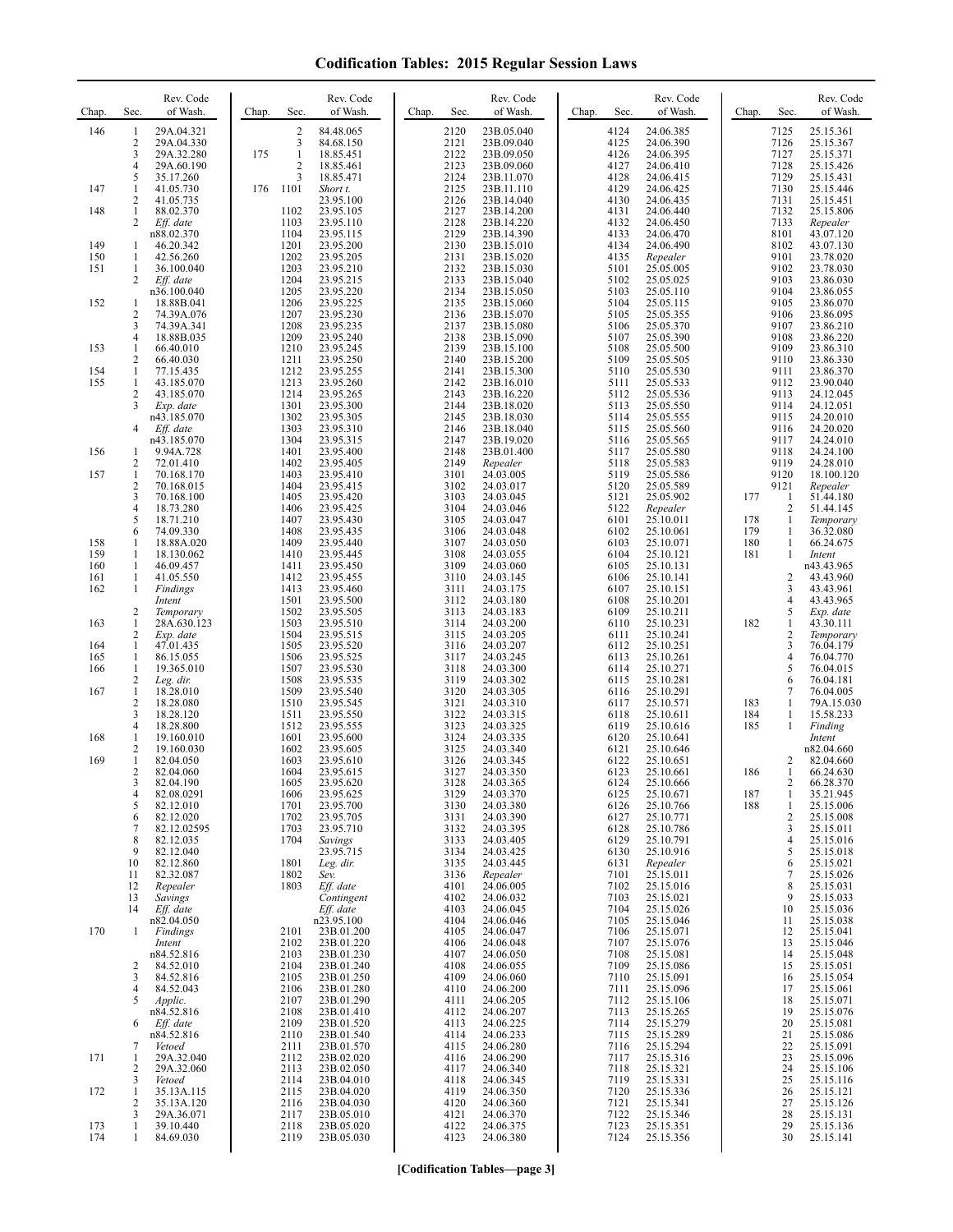| Chap.      | Sec.                     | Rev. Code<br>of Wash.             | Chap. | Sec.                 | Rev. Code<br>of Wash.                  | Chap. | Sec.                 | Rev. Code<br>of Wash.               | Chap. | Sec.                 | Rev. Code<br>of Wash.               | Chap.      | Sec.                     | Rev. Code<br>of Wash.               |
|------------|--------------------------|-----------------------------------|-------|----------------------|----------------------------------------|-------|----------------------|-------------------------------------|-------|----------------------|-------------------------------------|------------|--------------------------|-------------------------------------|
| 146        | 1<br>$\overline{c}$      | 29A.04.321<br>29A.04.330          |       | 2<br>3               | 84.48.065<br>84.68.150                 |       | 2120<br>2121         | 23B.05.040<br>23B.09.040            |       | 4124<br>4125         | 24.06.385<br>24.06.390              |            | 7125<br>7126             | 25.15.361<br>25.15.367              |
|            | 3<br>4                   | 29A.32.280<br>29A.60.190          | 175   | $\mathbf{1}$<br>2    | 18.85.451<br>18.85.461                 |       | 2122<br>2123         | 23B.09.050<br>23B.09.060            |       | 4126<br>4127         | 24.06.395<br>24.06.410              |            | 7127<br>7128             | 25.15.371<br>25.15.426              |
| 147        | 5<br>1                   | 35.17.260<br>41.05.730            | 176   | 3<br>1101            | 18.85.471<br>Short t.                  |       | 2124<br>2125         | 23B.11.070<br>23B.11.110            |       | 4128<br>4129         | 24.06.415<br>24.06.425              |            | 7129<br>7130             | 25.15.431<br>25.15.446              |
| 148        | $\overline{c}$<br>1      | 41.05.735<br>88.02.370            |       | 1102                 | 23.95.100<br>23.95.105                 |       | 2126<br>2127         | 23B.14.040<br>23B.14.200            |       | 4130<br>4131         | 24.06.435<br>24.06.440              |            | 7131<br>7132             | 25.15.451<br>25.15.806              |
|            | 2                        | Eff. date<br>n88.02.370           |       | 1103<br>1104         | 23.95.110<br>23.95.115                 |       | 2128<br>2129         | 23B.14.220<br>23B.14.390            |       | 4132<br>4133         | 24.06.450<br>24.06.470              |            | 7133<br>8101             | Repealer<br>43.07.120               |
| 149<br>150 | 1<br>1                   | 46.20.342<br>42.56.260            |       | 1201<br>1202         | 23.95.200<br>23.95.205                 |       | 2130<br>2131         | 23B.15.010<br>23B.15.020            |       | 4134<br>4135         | 24.06.490<br>Repealer               |            | 8102<br>9101             | 43.07.130<br>23.78.020              |
| 151        | 1<br>2                   | 36.100.040<br>Eff. date           |       | 1203<br>1204         | 23.95.210<br>23.95.215                 |       | 2132<br>2133         | 23B.15.030<br>23B.15.040            |       | 5101<br>5102         | 25.05.005<br>25.05.025              |            | 9102<br>9103             | 23.78.030<br>23.86.030              |
| 152        | 1                        | n36.100.040<br>18.88B.041         |       | 1205<br>1206         | 23.95.220<br>23.95.225                 |       | 2134<br>2135         | 23B.15.050<br>23B.15.060            |       | 5103<br>5104         | 25.05.110<br>25.05.115              |            | 9104<br>9105             | 23.86.055<br>23.86.070              |
|            | 2<br>3                   | 74.39A.076<br>74.39A.341          |       | 1207<br>1208         | 23.95.230<br>23.95.235                 |       | 2136<br>2137         | 23B.15.070<br>23B.15.080            |       | 5105<br>5106         | 25.05.355<br>25.05.370              |            | 9106<br>9107             | 23.86.095<br>23.86.210              |
| 153        | 4<br>1                   | 18.88B.035<br>66.40.010           |       | 1209<br>1210         | 23.95.240<br>23.95.245                 |       | 2138<br>2139         | 23B.15.090<br>23B.15.100            |       | 5107<br>5108         | 25.05.390<br>25.05.500              |            | 9108<br>9109             | 23.86.220<br>23.86.310              |
| 154        | 2<br>1                   | 66.40.030<br>77.15.435            |       | 1211<br>1212         | 23.95.250<br>23.95.255                 |       | 2140<br>2141         | 23B.15.200<br>23B.15.300            |       | 5109<br>5110         | 25.05.505                           |            | 9110<br>9111             | 23.86.330<br>23.86.370              |
| 155        | 1<br>2                   | 43.185.070<br>43.185.070          |       | 1213<br>1214         | 23.95.260<br>23.95.265                 |       | 2142<br>2143         | 23B.16.010<br>23B.16.220            |       | 5111<br>5112         | 25.05.530<br>25.05.533              |            | 9112<br>9113             | 23.90.040                           |
|            | 3                        | Exp. date                         |       | 1301                 | 23.95.300                              |       | 2144                 | 23B.18.020                          |       | 5113                 | 25.05.536<br>25.05.550              |            | 9114                     | 24.12.045<br>24.12.051              |
|            | 4                        | n43.185.070<br>Eff. date          |       | 1302<br>1303         | 23.95.305<br>23.95.310<br>23.95.315    |       | 2145<br>2146         | 23B.18.030<br>23B.18.040            |       | 5114<br>5115         | 25.05.555<br>25.05.560              |            | 9115<br>9116             | 24.20.010<br>24.20.020              |
| 156        | 1                        | n43.185.070<br>9.94A.728          |       | 1304<br>1401         | 23.95.400                              |       | 2147<br>2148         | 23B.19.020<br>23B.01.400            |       | 5116<br>5117         | 25.05.565<br>25.05.580              |            | 9117<br>9118             | 24.24.010<br>24.24.100              |
| 157        | 2<br>1<br>$\overline{c}$ | 72.01.410<br>70.168.170           |       | 1402<br>1403<br>1404 | 23.95.405<br>23.95.410<br>23.95.415    |       | 2149<br>3101         | Repealer<br>24.03.005               |       | 5118<br>5119         | 25.05.583<br>25.05.586              |            | 9119<br>9120             | 24.28.010<br>18.100.120             |
|            | 3<br>4                   | 70.168.015<br>70.168.100          |       | 1405<br>1406         | 23.95.420<br>23.95.425                 |       | 3102<br>3103<br>3104 | 24.03.017<br>24.03.045              |       | 5120<br>5121         | 25.05.589<br>25.05.902              | 177        | 9121<br>1<br>2           | Repealer<br>51.44.180<br>51.44.145  |
|            | 5                        | 18.73.280<br>18.71.210            |       | 1407                 | 23.95.430                              |       | 3105                 | 24.03.046<br>24.03.047              |       | 5122<br>6101         | Repealer<br>25.10.011               | 178        | 1                        | Temporary                           |
| 158        | 6<br>1                   | 74.09.330<br>18.88A.020           |       | 1408<br>1409         | 23.95.435<br>23.95.440                 |       | 3106<br>3107         | 24.03.048<br>24.03.050              |       | 6102<br>6103         | 25.10.061<br>25.10.071              | 179<br>180 | 1<br>1<br>$\mathbf{1}$   | 36.32.080<br>66.24.675              |
| 159<br>160 | 1<br>1                   | 18.130.062<br>46.09.457           |       | 1410<br>1411         | 23.95.445<br>23.95.450                 |       | 3108<br>3109         | 24.03.055<br>24.03.060              |       | 6104<br>6105         | 25.10.121<br>25.10.131              | 181        |                          | Intent<br>n43.43.965                |
| 161<br>162 | 1<br>1                   | 41.05.550<br>Findings             |       | 1412<br>1413<br>1501 | 23.95.455<br>23.95.460<br>23.95.500    |       | 3110<br>3111<br>3112 | 24.03.145<br>24.03.175<br>24.03.180 |       | 6106<br>6107         | 25.10.141<br>25.10.151              |            | $\overline{2}$<br>3<br>4 | 43.43.960<br>43.43.961              |
| 163        | $\overline{2}$           | Intent<br>Temporary               |       | 1502<br>1503         | 23.95.505                              |       | 3113<br>3114         | 24.03.183<br>24.03.200              |       | 6108<br>6109<br>6110 | 25.10.201<br>25.10.211              | 182        | 5<br>$\mathbf{1}$        | 43.43.965<br>Exp. date              |
|            | 1<br>$\overline{c}$<br>1 | 28A.630.123<br>Exp. date          |       | 1504<br>1505         | 23.95.510<br>23.95.515<br>23.95.520    |       | 3115<br>3116         | 24.03.205<br>24.03.207              |       | 6111<br>6112         | 25.10.231<br>25.10.241<br>25.10.251 |            | $\overline{c}$<br>3      | 43.30.111<br>Temporary<br>76.04.179 |
| 164<br>165 | 1                        | 47.01.435<br>86.15.055            |       | 1506                 | 23.95.525                              |       | 3117                 | 24.03.245                           |       | 6113                 | 25.10.261                           |            | 4                        | 76.04.770                           |
| 166        | 1<br>$\overline{c}$      | 19.365.010<br>Leg. dir.           |       | 1507<br>1508         | 23.95.530<br>23.95.535                 |       | 3118<br>3119         | 24.03.300<br>24.03.302              |       | 6114<br>6115         | 25.10.271<br>25.10.281              |            | 5<br>6<br>$\tau$         | 76.04.015<br>76.04.181              |
| 167        | 1<br>$\overline{c}$<br>3 | 18.28.010<br>18.28.080            |       | 1509<br>1510         | 23.95.540<br>23.95.545                 |       | 3120<br>3121         | 24.03.305<br>24.03.310              |       | 6116<br>6117         | 25.10.291<br>25.10.571              | 183        | 1<br>1                   | 76.04.005<br>79A.15.030             |
| 168        | 4<br>1                   | 18.28.120<br>18.28.800            |       | 1511<br>1512<br>1601 | 23.95.550<br>23.95.555<br>23.95.600    |       | 3122<br>3123<br>3124 | 24.03.315<br>24.03.325              |       | 6118<br>6119<br>6120 | 25.10.611<br>25.10.616              | 184<br>185 | $\mathbf{1}$             | 15.58.233<br>Finding                |
|            | $\overline{c}$           | 19.160.010<br>19.160.030          |       | 1602                 | 23.95.605                              |       | 3125                 | 24.03.335<br>24.03.340              |       | 6121                 | 25.10.641<br>25.10.646              |            |                          | Intent<br>n82.04.660                |
| 169        | 1<br>2                   | 82.04.050<br>82.04.060            |       | 1603<br>1604         | 23.95.610<br>23.95.615                 |       | 3126<br>3127         | 24.03.345<br>24.03.350              |       | 6122<br>6123         | 25.10.651<br>25.10.661              | 186        | 2<br>1                   | 82.04.660<br>66.24.630              |
|            | 3<br>4                   | 82.04.190<br>82.08.0291           |       | 1605<br>1606         | 23.95.620<br>23.95.625                 |       | 3128<br>3129         | 24.03.365<br>24.03.370              |       | 6124<br>6125         | 25.10.666<br>25.10.671              | 187        | 2<br>1                   | 66.28.370<br>35.21.945              |
|            | 5<br>6                   | 82.12.010<br>82.12.020            |       | 1701<br>1702<br>1703 | 23.95.700<br>23.95.705                 |       | 3130<br>3131         | 24.03.380<br>24.03.390              |       | 6126<br>6127         | 25.10.766<br>25.10.771              | 188        | 1<br>2<br>3              | 25.15.006<br>25.15.008              |
|            | 7<br>8<br>9              | 82.12.02595<br>82.12.035          |       | 1704                 | 23.95.710<br>Savings<br>23.95.715      |       | 3132<br>3133         | 24.03.395<br>24.03.405              |       | 6128<br>6129         | 25.10.786<br>25.10.791              |            | 4<br>5                   | 25.15.011<br>25.15.016              |
|            | 10                       | 82.12.040<br>82.12.860            |       | 1801                 | Leg. dir.                              |       | 3134<br>3135         | 24.03.425<br>24.03.445              |       | 6130<br>6131         | 25.10.916<br>Repealer               |            | 6                        | 25.15.018<br>25.15.021              |
|            | 11<br>12                 | 82.32.087<br>Repealer             |       | 1802<br>1803         | Sev.<br>Eff. date                      |       | 3136<br>4101         | Repealer<br>24.06.005               |       | 7101<br>7102         | 25.15.011<br>25.15.016<br>25.15.021 |            | 7<br>8<br>9              | 25.15.026<br>25.15.031              |
|            | 13<br>14                 | Savings<br>Eff. date              |       |                      | Contingent<br>Eff. date                |       | 4102<br>4103         | 24.06.032<br>24.06.045              |       | 7103<br>7104         | 25.15.026                           |            | 10                       | 25.15.033<br>25.15.036              |
| 170        | 1                        | n82.04.050<br>Findings            |       | 2101<br>2102         | n23.95.100<br>23B.01.200               |       | 4104<br>4105<br>4106 | 24.06.046<br>24.06.047<br>24.06.048 |       | 7105<br>7106         | 25.15.046<br>25.15.071              |            | 11<br>12<br>13           | 25.15.038<br>25.15.041              |
|            | 2                        | Intent<br>n84.52.816<br>84.52.010 |       | 2103<br>2104         | 23B.01.220<br>23B.01.230<br>23B.01.240 |       | 4107<br>4108         | 24.06.050<br>24.06.055              |       | 7107<br>7108<br>7109 | 25.15.076<br>25.15.081<br>25.15.086 |            | 14<br>15                 | 25.15.046<br>25.15.048              |
|            | 3<br>4                   | 84.52.816<br>84.52.043            |       | 2105<br>2106         | 23B.01.250<br>23B.01.280               |       | 4109<br>4110         | 24.06.060<br>24.06.200              |       | 7110<br>7111         | 25.15.091<br>25.15.096              |            | 16<br>17                 | 25.15.051<br>25.15.054<br>25.15.061 |
|            | 5                        | Applic.<br>n84.52.816             |       | 2107<br>2108         | 23B.01.290                             |       | 4111<br>4112         | 24.06.205<br>24.06.207              |       | 7112                 | 25.15.106                           |            | 18<br>19                 | 25.15.071<br>25.15.076              |
|            | 6                        | Eff. date<br>n84.52.816           |       | 2109<br>2110         | 23B.01.410<br>23B.01.520<br>23B.01.540 |       | 4113<br>4114         | 24.06.225<br>24.06.233              |       | 7113<br>7114<br>7115 | 25.15.265<br>25.15.279<br>25.15.289 |            | 20<br>21                 | 25.15.081<br>25.15.086              |
| 171        | 7<br>1                   | Vetoed<br>29A.32.040              |       | 2111<br>2112         | 23B.01.570<br>23B.02.020               |       | 4115<br>4116         | 24.06.280<br>24.06.290              |       | 7116<br>7117         | 25.15.294<br>25.15.316              |            | 22<br>23                 | 25.15.091<br>25.15.096              |
|            | $\overline{c}$<br>3      | 29A.32.060<br>Vetoed              |       | 2113<br>2114         | 23B.02.050<br>23B.04.010               |       | 4117<br>4118         | 24.06.340<br>24.06.345              |       | 7118<br>7119         | 25.15.321<br>25.15.331              |            | 24<br>25                 | 25.15.106<br>25.15.116              |
| 172        | 1<br>2                   | 35.13A.115<br>35.13A.120          |       | 2115<br>2116         | 23B.04.020<br>23B.04.030               |       | 4119<br>4120         | 24.06.350<br>24.06.360              |       | 7120<br>7121         | 25.15.336<br>25.15.341              |            | 26<br>27                 | 25.15.121<br>25.15.126              |
| 173        | 3<br>1                   | 29A.36.071<br>39.10.440           |       | 2117<br>2118         | 23B.05.010<br>23B.05.020               |       | 4121<br>4122         | 24.06.370<br>24.06.375              |       | 7122<br>7123         | 25.15.346<br>25.15.351              |            | 28<br>29                 | 25.15.131<br>25.15.136              |
| 174        | 1                        | 84.69.030                         |       | 2119                 | 23B.05.030                             |       | 4123                 | 24.06.380                           |       | 7124                 | 25.15.356                           |            | 30                       | 25.15.141                           |

**[Codification Tables—page 3]**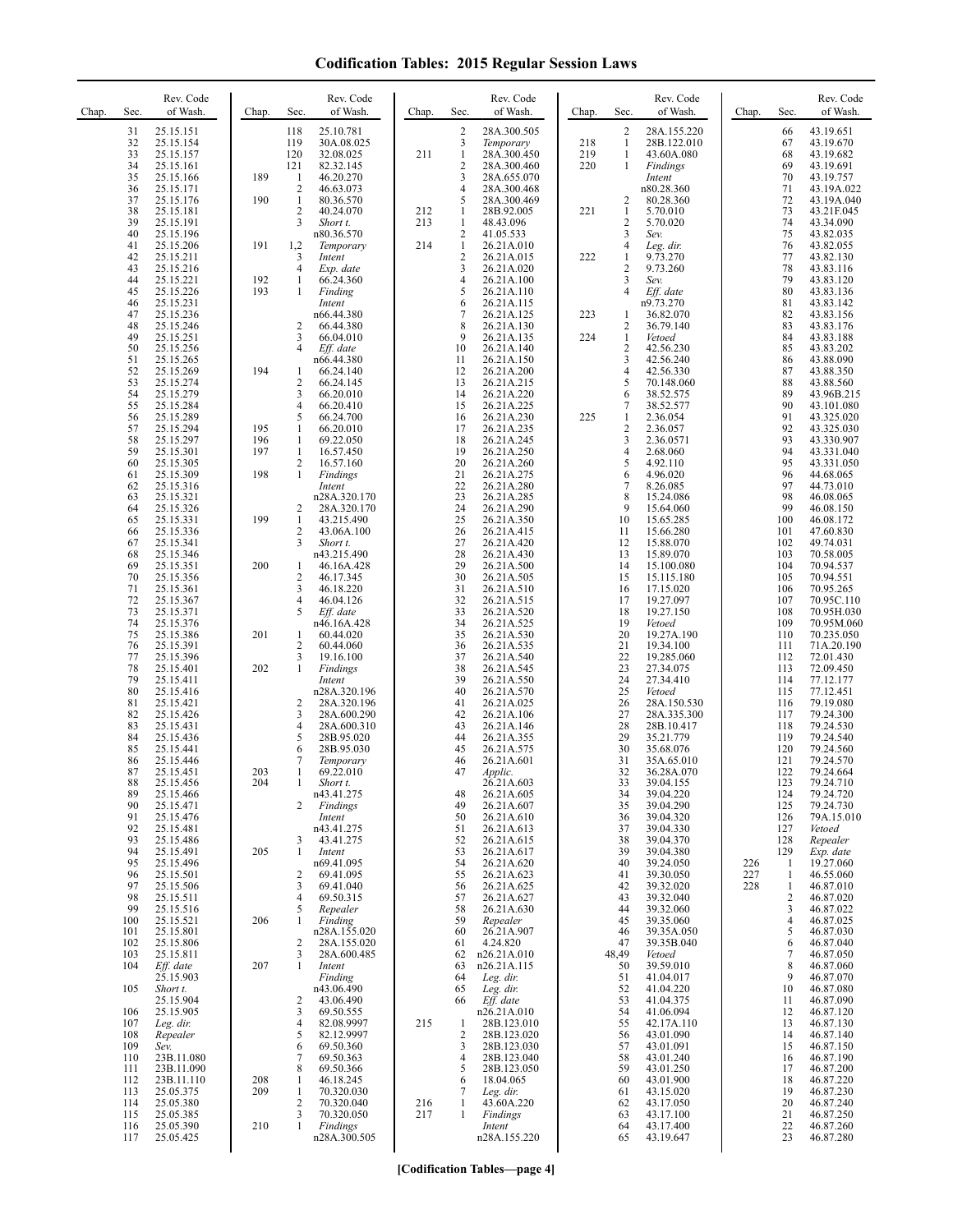| Chap. | Sec.       | Rev. Code<br>of Wash.  | Chap. | Sec.                           | Rev. Code<br>of Wash.      | Chap. | Sec.              | Rev. Code<br>of Wash.      | Chap.      | Sec.                         | Rev. Code<br>of Wash.      | Chap.      | Sec.                | Rev. Code<br>of Wash.    |
|-------|------------|------------------------|-------|--------------------------------|----------------------------|-------|-------------------|----------------------------|------------|------------------------------|----------------------------|------------|---------------------|--------------------------|
|       | 31         | 25.15.151              |       | 118                            | 25.10.781                  |       | $\overline{2}$    | 28A.300.505                |            | $\overline{2}$               | 28A.155.220                |            | 66                  | 43.19.651                |
|       | 32<br>33   | 25.15.154              |       | 119<br>120                     | 30A.08.025                 |       | 3<br>$\mathbf{1}$ | Temporary                  | 218<br>219 | $\mathbf{1}$<br>$\mathbf{1}$ | 28B.122.010                |            | 67<br>68            | 43.19.670                |
|       | 34         | 25.15.157<br>25.15.161 |       | 121                            | 32.08.025<br>82.32.145     | 211   | $\overline{c}$    | 28A.300.450<br>28A.300.460 | 220        | 1                            | 43.60A.080<br>Findings     |            | 69                  | 43.19.682<br>43.19.691   |
|       | 35         | 25.15.166              | 189   | 1                              | 46.20.270                  |       | 3                 | 28A.655.070                |            |                              | Intent                     |            | 70                  | 43.19.757                |
|       | 36<br>37   | 25.15.171              | 190   | $\overline{c}$<br>$\mathbf{1}$ | 46.63.073                  |       | 4<br>5            | 28A.300.468<br>28A.300.469 |            |                              | n80.28.360                 |            | 71                  | 43.19A.022               |
|       | 38         | 25.15.176<br>25.15.181 |       | $\overline{2}$                 | 80.36.570<br>40.24.070     | 212   | 1                 | 28B.92.005                 | 221        | 2<br>$\mathbf{1}$            | 80.28.360<br>5.70.010      |            | 72<br>73            | 43.19A.040<br>43.21F.045 |
|       | 39         | 25.15.191              |       | 3                              | Short t.                   | 213   | 1                 | 48.43.096                  |            | $\overline{\mathbf{c}}$      | 5.70.020                   |            | 74                  | 43.34.090                |
|       | 40         | 25.15.196              |       |                                | n80.36.570                 |       | 2                 | 41.05.533                  |            | 3                            | Sev.                       |            | 75                  | 43.82.035                |
|       | 41<br>42   | 25.15.206<br>25.15.211 | 191   | 1,2<br>3                       | Temporary<br>Intent        | 214   | $\mathbf{1}$<br>2 | 26.21A.010<br>26.21A.015   | 222        | $\overline{4}$<br>1          | Leg. dir.<br>9.73.270      |            | 76<br>77            | 43.82.055<br>43.82.130   |
|       | 43         | 25.15.216              |       | 4                              | Exp. date                  |       | 3                 | 26.21A.020                 |            | $\overline{2}$               | 9.73.260                   |            | 78                  | 43.83.116                |
|       | 44         | 25.15.221              | 192   | 1                              | 66.24.360                  |       | 4                 | 26.21A.100                 |            | 3<br>$\overline{4}$          | Sev.                       |            | 79                  | 43.83.120                |
|       | 45<br>46   | 25.15.226<br>25.15.231 | 193   | 1                              | Finding<br>Intent          |       | 5<br>6            | 26.21A.110<br>26.21A.115   |            |                              | Eff. date<br>n9.73.270     |            | 80<br>81            | 43.83.136<br>43.83.142   |
|       | 47         | 25.15.236              |       |                                | n66.44.380                 |       | 7                 | 26.21A.125                 | 223        | 1                            | 36.82.070                  |            | 82                  | 43.83.156                |
|       | 48<br>49   | 25.15.246<br>25.15.251 |       | $\overline{c}$<br>3            | 66.44.380<br>66.04.010     |       | 8<br>9            | 26.21A.130<br>26.21A.135   | 224        | 2<br>$\mathbf{1}$            | 36.79.140<br>Vetoed        |            | 83<br>84            | 43.83.176<br>43.83.188   |
|       | 50         | 25.15.256              |       | $\overline{4}$                 | Eff. date                  |       | 10                | 26.21A.140                 |            | $\overline{2}$               | 42.56.230                  |            | 85                  | 43.83.202                |
|       | 51         | 25.15.265              |       |                                | n66.44.380                 |       | 11                | 26.21A.150                 |            | 3                            | 42.56.240                  |            | 86                  | 43.88.090                |
|       | 52<br>53   | 25.15.269<br>25.15.274 | 194   | 1<br>$\overline{\mathbf{c}}$   | 66.24.140<br>66.24.145     |       | 12<br>13          | 26.21A.200<br>26.21A.215   |            | 4<br>5                       | 42.56.330<br>70.148.060    |            | 87<br>88            | 43.88.350<br>43.88.560   |
|       | 54         | 25.15.279              |       | 3                              | 66.20.010                  |       | 14                | 26.21A.220                 |            | 6                            | 38.52.575                  |            | 89                  | 43.96B.215               |
|       | 55         | 25.15.284              |       | 4                              | 66.20.410                  |       | 15                | 26.21A.225                 |            | 7                            | 38.52.577                  |            | 90                  | 43.101.080               |
|       | 56<br>57   | 25.15.289<br>25.15.294 | 195   | 5<br>1                         | 66.24.700<br>66.20.010     |       | 16<br>17          | 26.21A.230<br>26.21A.235   | 225        | 1<br>$\boldsymbol{2}$        | 2.36.054<br>2.36.057       |            | 91<br>92            | 43.325.020<br>43.325.030 |
|       | 58         | 25.15.297              | 196   | 1                              | 69.22.050                  |       | 18                | 26.21A.245                 |            | 3                            | 2.36.0571                  |            | 93                  | 43.330.907               |
|       | 59         | 25.15.301              | 197   | 1                              | 16.57.450                  |       | 19                | 26.21A.250                 |            | $\overline{4}$               | 2.68.060                   |            | 94                  | 43.331.040               |
|       | 60<br>61   | 25.15.305<br>25.15.309 | 198   | 2<br>1                         | 16.57.160<br>Findings      |       | 20<br>21          | 26.21A.260<br>26.21A.275   |            | 5<br>6                       | 4.92.110<br>4.96.020       |            | 95<br>96            | 43.331.050<br>44.68.065  |
|       | 62         | 25.15.316              |       |                                | Intent                     |       | 22                | 26.21A.280                 |            | 7                            | 8.26.085                   |            | 97                  | 44.73.010                |
|       | 63         | 25.15.321<br>25.15.326 |       |                                | n28A.320.170               |       | 23<br>24          | 26.21A.285                 |            | 8<br>9                       | 15.24.086                  |            | 98<br>99            | 46.08.065<br>46.08.150   |
|       | 64<br>65   | 25.15.331              | 199   | 2<br>1                         | 28A.320.170<br>43.215.490  |       | 25                | 26.21A.290<br>26.21A.350   |            | 10                           | 15.64.060<br>15.65.285     |            | 100                 | 46.08.172                |
|       | 66         | 25.15.336              |       | $\overline{\mathbf{c}}$        | 43.06A.100                 |       | 26                | 26.21A.415                 |            | 11                           | 15.66.280                  |            | 101                 | 47.60.830                |
|       | 67<br>68   | 25.15.341<br>25.15.346 |       | 3                              | Short t.<br>n43.215.490    |       | 27<br>28          | 26.21A.420<br>26.21A.430   |            | 12<br>13                     | 15.88.070<br>15.89.070     |            | 102<br>103          | 49.74.031<br>70.58.005   |
|       | 69         | 25.15.351              | 200   | 1                              | 46.16A.428                 |       | 29                | 26.21A.500                 |            | 14                           | 15.100.080                 |            | 104                 | 70.94.537                |
|       | 70         | 25.15.356              |       | $\overline{c}$                 | 46.17.345                  |       | 30                | 26.21A.505                 |            | 15                           | 15.115.180                 |            | 105                 | 70.94.551                |
|       | 71<br>72   | 25.15.361<br>25.15.367 |       | 3<br>4                         | 46.18.220<br>46.04.126     |       | 31<br>32          | 26.21A.510<br>26.21A.515   |            | 16<br>17                     | 17.15.020<br>19.27.097     |            | 106<br>107          | 70.95.265<br>70.95C.110  |
|       | 73         | 25.15.371              |       | 5                              | Eff. date                  |       | 33                | 26.21A.520                 |            | 18                           | 19.27.150                  |            | 108                 | 70.95H.030               |
|       | 74<br>75   | 25.15.376              |       |                                | n46.16A.428                |       | 34<br>35          | 26.21A.525<br>26.21A.530   |            | 19<br>20                     | Vetoed<br>19.27A.190       |            | 109                 | 70.95M.060               |
|       | 76         | 25.15.386<br>25.15.391 | 201   | 1<br>$\overline{c}$            | 60.44.020<br>60.44.060     |       | 36                | 26.21A.535                 |            | 21                           | 19.34.100                  |            | 110<br>111          | 70.235.050<br>71A.20.190 |
|       | 77         | 25.15.396              |       | 3                              | 19.16.100                  |       | 37                | 26.21A.540                 |            | 22                           | 19.285.060                 |            | 112                 | 72.01.430                |
|       | 78<br>79   | 25.15.401<br>25.15.411 | 202   | 1                              | Findings<br>Intent         |       | 38<br>39          | 26.21A.545<br>26.21A.550   |            | 23<br>24                     | 27.34.075<br>27.34.410     |            | 113<br>114          | 72.09.450<br>77.12.177   |
|       | 80         | 25.15.416              |       |                                | n28A.320.196               |       | 40                | 26.21A.570                 |            | 25                           | Vetoed                     |            | 115                 | 77.12.451                |
|       | 81<br>82   | 25.15.421<br>25.15.426 |       | $\overline{c}$<br>3            | 28A.320.196<br>28A.600.290 |       | 41<br>42          | 26.21A.025<br>26.21A.106   |            | 26<br>27                     | 28A.150.530<br>28A.335.300 |            | 116<br>117          | 79.19.080<br>79.24.300   |
|       | 83         | 25.15.431              |       | 4                              | 28A.600.310                |       | 43                | 26.21A.146                 |            | 28                           | 28B.10.417                 |            | 118                 | 79.24.530                |
|       | 84         | 25.15.436              |       | 5                              | 28B.95.020                 |       | 44                | 26.21A.355                 |            | 29                           | 35.21.779                  |            | 119                 | 79.24.540                |
|       | 85<br>86   | 25.15.441<br>25.15.446 |       | 6<br>7                         | 28B.95.030<br>Temporary    |       | 45<br>46          | 26.21A.575<br>26.21A.601   |            | 30<br>31                     | 35.68.076<br>35A.65.010    |            | 120<br>121          | 79.24.560<br>79.24.570   |
|       | 87         | 25.15.451              | 203   | 1                              | 69.22.010                  |       | 47                | Applic.                    |            | 32                           | 36.28A.070                 |            | 122                 | 79.24.664                |
|       | 88         | 25.15.456              | 204   |                                | Short t.                   |       |                   | 26.21A.603                 |            | 33                           | 39.04.155                  |            | 123                 | 79.24.710                |
|       | 89<br>90   | 25.15.466<br>25.15.471 |       | 2                              | n43.41.275<br>Findings     |       | 48<br>49          | 26.21A.605<br>26.21A.607   |            | 34<br>35                     | 39.04.220<br>39.04.290     |            | 124<br>125          | 79.24.720<br>79.24.730   |
|       | 91         | 25.15.476              |       |                                | Intent                     |       | 50                | 26.21A.610                 |            | 36                           | 39.04.320                  |            | 126                 | 79A.15.010               |
|       | 92<br>93   | 25.15.481<br>25.15.486 |       | 3                              | n43.41.275<br>43.41.275    |       | 51<br>52          | 26.21A.613<br>26.21A.615   |            | 37<br>38                     | 39.04.330<br>39.04.370     |            | 127<br>128          | Vetoed<br>Repealer       |
|       | 94         | 25.15.491              | 205   | 1                              | Intent                     |       | 53                | 26.21A.617                 |            | 39                           | 39.04.380                  |            | 129                 | Exp. date                |
|       | 95         | 25.15.496              |       |                                | n69.41.095                 |       | 54                | 26.21A.620                 |            | 40                           | 39.24.050                  | 226        | 1                   | 19.27.060                |
|       | 96<br>97   | 25.15.501<br>25.15.506 |       | 2<br>3                         | 69.41.095<br>69.41.040     |       | 55<br>56          | 26.21A.623<br>26.21A.625   |            | 41<br>42                     | 39.30.050<br>39.32.020     | 227<br>228 | 1<br>$\mathbf{1}$   | 46.55.060<br>46.87.010   |
|       | 98         | 25.15.511              |       | 4                              | 69.50.315                  |       | 57                | 26.21A.627                 |            | 43                           | 39.32.040                  |            | $\overline{2}$      | 46.87.020                |
|       | 99         | 25.15.516              |       | 5                              | Repealer                   |       | 58                | 26.21A.630                 |            | 44                           | 39.32.060                  |            | 3                   | 46.87.022                |
|       | 100<br>101 | 25.15.521<br>25.15.801 | 206   | 1                              | Finding<br>n28A.155.020    |       | 59<br>60          | Repealer<br>26.21A.907     |            | 45<br>46                     | 39.35.060<br>39.35A.050    |            | $\overline{4}$<br>5 | 46.87.025<br>46.87.030   |
|       | 102        | 25.15.806              |       | 2                              | 28A.155.020                |       | 61                | 4.24.820                   |            | 47                           | 39.35B.040                 |            | 6                   | 46.87.040                |
|       | 103<br>104 | 25.15.811              | 207   | 3<br>1                         | 28A.600.485                |       | 62<br>63          | n26.21A.010                |            | 48,49                        | Vetoed<br>39.59.010        |            | 7<br>$\,$ 8 $\,$    | 46.87.050                |
|       |            | Eff. date<br>25.15.903 |       |                                | Intent<br>Finding          |       | 64                | n26.21A.115<br>Leg. dir.   |            | 50<br>51                     | 41.04.017                  |            | 9                   | 46.87.060<br>46.87.070   |
|       | 105        | Short t.               |       |                                | n43.06.490                 |       | 65                | Leg. dir.                  |            | 52                           | 41.04.220                  |            | 10                  | 46.87.080                |
|       | 106        | 25.15.904<br>25.15.905 |       | 2<br>3                         | 43.06.490<br>69.50.555     |       | 66                | Eff. date<br>n26.21A.010   |            | 53<br>54                     | 41.04.375<br>41.06.094     |            | 11<br>12            | 46.87.090<br>46.87.120   |
|       | 107        | Leg. dir.              |       | 4                              | 82.08.9997                 | 215   | 1                 | 28B.123.010                |            | 55                           | 42.17A.110                 |            | 13                  | 46.87.130                |
|       | 108        | Repealer               |       | 5                              | 82.12.9997                 |       | 2                 | 28B.123.020                |            | 56                           | 43.01.090                  |            | 14                  | 46.87.140                |
|       | 109<br>110 | Sev.<br>23B.11.080     |       | 6<br>7                         | 69.50.360<br>69.50.363     |       | 3<br>4            | 28B.123.030<br>28B.123.040 |            | 57<br>58                     | 43.01.091<br>43.01.240     |            | 15<br>16            | 46.87.150<br>46.87.190   |
|       | 111        | 23B.11.090             |       | 8                              | 69.50.366                  |       | 5                 | 28B.123.050                |            | 59                           | 43.01.250                  |            | 17                  | 46.87.200                |
|       | 112        | 23B.11.110             | 208   | 1                              | 46.18.245                  |       | 6                 | 18.04.065                  |            | 60                           | 43.01.900                  |            | 18                  | 46.87.220                |
|       | 113<br>114 | 25.05.375<br>25.05.380 | 209   | $\mathbf{1}$<br>$\overline{c}$ | 70.320.030<br>70.320.040   | 216   | 7<br>1            | Leg. dir.<br>43.60A.220    |            | 61<br>62                     | 43.15.020<br>43.17.050     |            | 19<br>20            | 46.87.230<br>46.87.240   |
|       | 115        | 25.05.385              |       | 3                              | 70.320.050                 | 217   | $\mathbf{1}$      | Findings                   |            | 63                           | 43.17.100                  |            | 21                  | 46.87.250                |
|       | 116<br>117 | 25.05.390<br>25.05.425 | 210   | 1                              | Findings<br>n28A.300.505   |       |                   | Intent<br>n28A.155.220     |            | 64<br>65                     | 43.17.400<br>43.19.647     |            | 22<br>23            | 46.87.260<br>46.87.280   |
|       |            |                        |       |                                |                            |       |                   |                            |            |                              |                            |            |                     |                          |

**[Codification Tables—page 4]**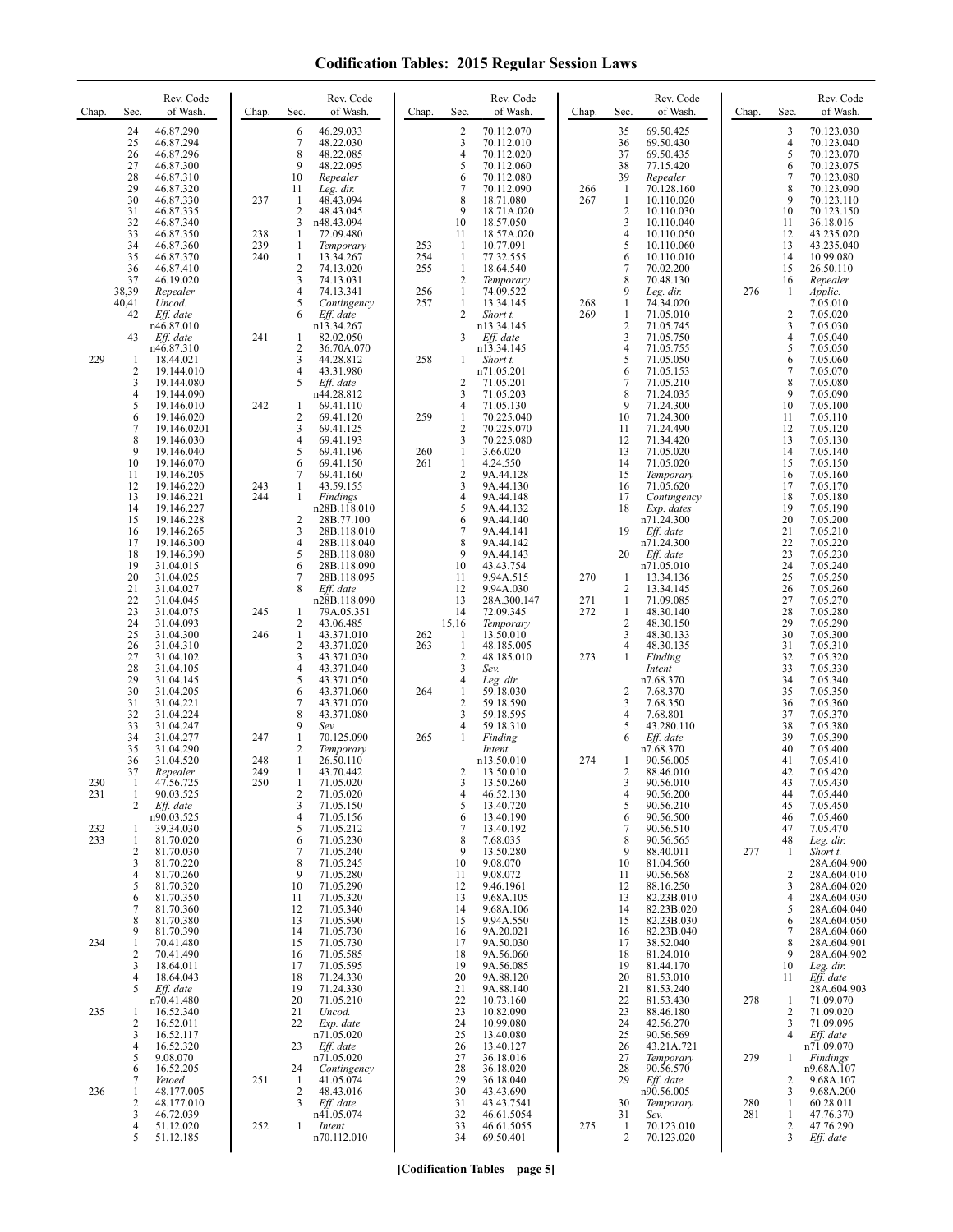| Chap.      | Sec.                                                                       | Rev. Code<br>of Wash.                                                                                                                        | Chap.             | Sec.                                                                     | Rev. Code<br>of Wash.                                                                                                                                     | Chap.                           | Sec.                                                                                  | Rev. Code<br>of Wash.                                                                                                                      | Chap.                    | Sec.                                                                                                   | Rev. Code<br>of Wash.                                                                                                                   | Chap.             | Sec.                                                           | Rev. Code<br>of Wash.                                                                                                                   |
|------------|----------------------------------------------------------------------------|----------------------------------------------------------------------------------------------------------------------------------------------|-------------------|--------------------------------------------------------------------------|-----------------------------------------------------------------------------------------------------------------------------------------------------------|---------------------------------|---------------------------------------------------------------------------------------|--------------------------------------------------------------------------------------------------------------------------------------------|--------------------------|--------------------------------------------------------------------------------------------------------|-----------------------------------------------------------------------------------------------------------------------------------------|-------------------|----------------------------------------------------------------|-----------------------------------------------------------------------------------------------------------------------------------------|
|            | 24<br>25<br>26<br>27<br>28<br>29<br>30<br>31<br>32<br>33                   | 46.87.290<br>46.87.294<br>46.87.296<br>46.87.300<br>46.87.310<br>46.87.320<br>46.87.330<br>46.87.335<br>46.87.340<br>46.87.350               | 237<br>238        | 6<br>7<br>8<br>9<br>10<br>11<br>1<br>$\overline{2}$<br>3<br>1            | 46.29.033<br>48.22.030<br>48.22.085<br>48.22.095<br>Repealer<br>Leg. dir.<br>48.43.094<br>48.43.045<br>n48.43.094<br>72.09.480                            |                                 | $\overline{2}$<br>3<br>$\overline{4}$<br>5<br>6<br>7<br>8<br>9<br>10<br>11            | 70.112.070<br>70.112.010<br>70.112.020<br>70.112.060<br>70.112.080<br>70.112.090<br>18.71.080<br>18.71A.020<br>18.57.050<br>18.57A.020     | 266<br>267               | 35<br>36<br>37<br>38<br>39<br>$\mathbf{1}$<br>$\mathbf{1}$<br>$\overline{2}$<br>3<br>$\overline{4}$    | 69.50.425<br>69.50.430<br>69.50.435<br>77.15.420<br>Repealer<br>70.128.160<br>10.110.020<br>10.110.030<br>10.110.040<br>10.110.050      |                   | 3<br>4<br>5<br>6<br>7<br>8<br>9<br>10<br>11<br>12              | 70.123.030<br>70.123.040<br>70.123.070<br>70.123.075<br>70.123.080<br>70.123.090<br>70.123.110<br>70.123.150<br>36.18.016<br>43.235.020 |
|            | 34<br>35<br>36<br>37<br>38,39<br>40,41<br>42                               | 46.87.360<br>46.87.370<br>46.87.410<br>46.19.020<br>Repealer<br>Uncod.<br>Eff. date<br>n46.87.010                                            | 239<br>240        | 1<br>$\mathbf{1}$<br>$\overline{\mathbf{c}}$<br>3<br>4<br>5<br>6         | Temporary<br>13.34.267<br>74.13.020<br>74.13.031<br>74.13.341<br>Contingency<br>Eff. date<br>n13.34.267                                                   | 253<br>254<br>255<br>256<br>257 | 1<br>$\mathbf{1}$<br>$\mathbf{1}$<br>2<br>$\mathbf{1}$<br>$\mathbf{1}$<br>2           | 10.77.091<br>77.32.555<br>18.64.540<br>Temporary<br>74.09.522<br>13.34.145<br>Short t.<br>n13.34.145                                       | 268<br>269               | 5<br>6<br>7<br>8<br>9<br>$\mathbf{1}$<br>$\mathbf{1}$<br>$\overline{c}$                                | 10.110.060<br>10.110.010<br>70.02.200<br>70.48.130<br>Leg. dir.<br>74.34.020<br>71.05.010<br>71.05.745                                  | 276               | 13<br>14<br>15<br>16<br>1<br>$\overline{c}$<br>3               | 43.235.040<br>10.99.080<br>26.50.110<br>Repealer<br>Applic.<br>7.05.010<br>7.05.020<br>7.05.030                                         |
| 229        | 43<br>-1<br>2<br>3                                                         | Eff. date<br>n46.87.310<br>18.44.021<br>19.144.010<br>19.144.080                                                                             | 241               | 1<br>2<br>3<br>4<br>5                                                    | 82.02.050<br>36.70A.070<br>44.28.812<br>43.31.980<br>Eff. date                                                                                            | 258                             | 3<br>1<br>2                                                                           | Eff. date<br>n13.34.145<br>Short t.<br>n71.05.201<br>71.05.201                                                                             |                          | 3<br>$\overline{4}$<br>5<br>6<br>$\overline{7}$                                                        | 71.05.750<br>71.05.755<br>71.05.050<br>71.05.153<br>71.05.210                                                                           |                   | 4<br>5<br>6<br>7<br>8                                          | 7.05.040<br>7.05.050<br>7.05.060<br>7.05.070<br>7.05.080                                                                                |
|            | 4<br>5<br>6<br>$\overline{7}$<br>8<br>9                                    | 19.144.090<br>19.146.010<br>19.146.020<br>19.146.0201<br>19.146.030<br>19.146.040                                                            | 242               | 1<br>$\overline{c}$<br>3<br>$\overline{4}$<br>5                          | n44.28.812<br>69.41.110<br>69.41.120<br>69.41.125<br>69.41.193<br>69.41.196                                                                               | 259<br>260                      | 3<br>4<br>1<br>$\overline{2}$<br>3<br>$\mathbf{1}$                                    | 71.05.203<br>71.05.130<br>70.225.040<br>70.225.070<br>70.225.080<br>3.66.020                                                               |                          | 8<br>9<br>10<br>11<br>12<br>13                                                                         | 71.24.035<br>71.24.300<br>71.24.300<br>71.24.490<br>71.34.420<br>71.05.020                                                              |                   | 9<br>10<br>11<br>12<br>13<br>14                                | 7.05.090<br>7.05.100<br>7.05.110<br>7.05.120<br>7.05.130<br>7.05.140                                                                    |
|            | 10<br>11<br>12<br>13<br>14<br>15<br>16<br>17                               | 19.146.070<br>19.146.205<br>19.146.220<br>19.146.221<br>19.146.227<br>19.146.228<br>19.146.265<br>19.146.300                                 | 243<br>244        | 6<br>7<br>$\mathbf{1}$<br>$\mathbf{1}$<br>2<br>3<br>$\overline{4}$       | 69.41.150<br>69.41.160<br>43.59.155<br>Findings<br>n28B.118.010<br>28B.77.100<br>28B.118.010<br>28B.118.040                                               | 261                             | $\mathbf{1}$<br>$\overline{2}$<br>3<br>4<br>5<br>6<br>7<br>8                          | 4.24.550<br>9A.44.128<br>9A.44.130<br>9A.44.148<br>9A.44.132<br>9A.44.140<br>9A.44.141<br>9A.44.142                                        |                          | 14<br>15<br>16<br>17<br>18<br>19                                                                       | 71.05.020<br>Temporary<br>71.05.620<br>Contingency<br>Exp. dates<br>n71.24.300<br>Eff. date<br>n71.24.300                               |                   | 15<br>16<br>17<br>18<br>19<br>20<br>21<br>22                   | 7.05.150<br>7.05.160<br>7.05.170<br>7.05.180<br>7.05.190<br>7.05.200<br>7.05.210<br>7.05.220                                            |
|            | 18<br>19<br>20<br>21<br>22<br>23<br>24<br>25<br>26<br>27<br>28             | 19.146.390<br>31.04.015<br>31.04.025<br>31.04.027<br>31.04.045<br>31.04.075<br>31.04.093<br>31.04.300<br>31.04.310<br>31.04.102<br>31.04.105 | 245<br>246        | 5<br>6<br>7<br>8<br>1<br>2<br>1<br>$\overline{2}$<br>3<br>$\overline{4}$ | 28B.118.080<br>28B.118.090<br>28B.118.095<br>Eff. date<br>n28B.118.090<br>79A.05.351<br>43.06.485<br>43.371.010<br>43.371.020<br>43.371.030<br>43.371.040 | 262<br>263                      | 9<br>10<br>11<br>12<br>13<br>14<br>15,16<br>-1<br>$\mathbf{1}$<br>$\overline{2}$<br>3 | 9A.44.143<br>43.43.754<br>9.94A.515<br>9.94A.030<br>28A.300.147<br>72.09.345<br>Temporary<br>13.50.010<br>48.185.005<br>48.185.010<br>Sev. | 270<br>271<br>272<br>273 | 20<br>$\mathbf{1}$<br>$\overline{2}$<br>-1<br>$\mathbf{1}$<br>$\overline{c}$<br>3<br>4<br>$\mathbf{1}$ | Eff. date<br>n71.05.010<br>13.34.136<br>13.34.145<br>71.09.085<br>48.30.140<br>48.30.150<br>48.30.133<br>48.30.135<br>Finding<br>Intent |                   | 23<br>24<br>25<br>26<br>27<br>28<br>29<br>30<br>31<br>32<br>33 | 7.05.230<br>7.05.240<br>7.05.250<br>7.05.260<br>7.05.270<br>7.05.280<br>7.05.290<br>7.05.300<br>7.05.310<br>7.05.320<br>7.05.330        |
|            | 29<br>30<br>31<br>32<br>33<br>34<br>35                                     | 31.04.145<br>31.04.205<br>31.04.221<br>31.04.224<br>31.04.247<br>31.04.277<br>31.04.290                                                      | 247               | 5<br>6<br>7<br>8<br>9<br>1<br>$\overline{2}$                             | 43.371.050<br>43.371.060<br>43.371.070<br>43.371.080<br>Sev.<br>70.125.090<br>Temporary                                                                   | 264<br>265                      | 4<br>1<br>$\overline{2}$<br>3<br>4<br>1                                               | Leg. dir.<br>59.18.030<br>59.18.590<br>59.18.595<br>59.18.310<br>Finding<br>Intent                                                         |                          | $\overline{2}$<br>3<br>$\overline{4}$<br>5<br>6                                                        | n7.68.370<br>7.68.370<br>7.68.350<br>7.68.801<br>43.280.110<br>Eff. date<br>n7.68.370                                                   |                   | 34<br>35<br>36<br>37<br>38<br>39<br>40                         | 7.05.340<br>7.05.350<br>7.05.360<br>7.05.370<br>7.05.380<br>7.05.390<br>7.05.400                                                        |
| 230<br>231 | 36<br>37<br>-1<br>1<br>2                                                   | 31.04.520<br>Repealer<br>47.56.725<br>90.03.525<br>Eff. date                                                                                 | 248<br>249<br>250 | $\mathbf{1}$<br>1<br>$\mathbf{1}$<br>$\overline{2}$<br>3                 | 26.50.110<br>43.70.442<br>71.05.020<br>71.05.020<br>71.05.150                                                                                             |                                 | 2<br>$\overline{4}$<br>5                                                              | n13.50.010<br>13.50.010<br>13.50.260<br>46.52.130<br>13.40.720                                                                             | 274                      | -1<br>2<br>3<br>$\overline{4}$<br>5                                                                    | 90.56.005<br>88.46.010<br>90.56.010<br>90.56.200<br>90.56.210                                                                           |                   | 41<br>42<br>43<br>44<br>45                                     | 7.05.410<br>7.05.420<br>7.05.430<br>7.05.440<br>7.05.450                                                                                |
| 232<br>233 | -1<br>$\mathbf{1}$<br>$\overline{2}$<br>3<br>$\overline{4}$<br>5<br>6<br>7 | n90.03.525<br>39.34.030<br>81.70.020<br>81.70.030<br>81.70.220<br>81.70.260<br>81.70.320<br>81.70.350<br>81.70.360                           |                   | $\overline{4}$<br>5<br>6<br>7<br>8<br>9<br>10<br>11<br>12                | 71.05.156<br>71.05.212<br>71.05.230<br>71.05.240<br>71.05.245<br>71.05.280<br>71.05.290<br>71.05.320<br>71.05.340                                         |                                 | 6<br>7<br>8<br>9<br>10<br>11<br>12<br>13<br>14                                        | 13.40.190<br>13.40.192<br>7.68.035<br>13.50.280<br>9.08.070<br>9.08.072<br>9.46.1961<br>9.68A.105<br>9.68A.106                             |                          | 6<br>$\overline{7}$<br>8<br>9<br>10<br>11<br>12<br>13<br>14                                            | 90.56.500<br>90.56.510<br>90.56.565<br>88.40.011<br>81.04.560<br>90.56.568<br>88.16.250<br>82.23B.010<br>82.23B.020                     | 277               | 46<br>47<br>48<br>1<br>2<br>3<br>4<br>5                        | 7.05.460<br>7.05.470<br>Leg. dir.<br>Short t.<br>28A.604.900<br>28A.604.010<br>28A.604.020<br>28A.604.030<br>28A.604.040                |
| 234        | 8<br>9<br>$\mathbf{1}$<br>2<br>3<br>4                                      | 81.70.380<br>81.70.390<br>70.41.480<br>70.41.490<br>18.64.011<br>18.64.043                                                                   |                   | 13<br>14<br>15<br>16<br>17<br>18                                         | 71.05.590<br>71.05.730<br>71.05.730<br>71.05.585<br>71.05.595<br>71.24.330                                                                                |                                 | 15<br>16<br>17<br>18<br>19<br>20                                                      | 9.94A.550<br>9A.20.021<br>9A.50.030<br>9A.56.060<br>9A.56.085<br>9A.88.120                                                                 |                          | 15<br>16<br>17<br>18<br>19<br>20                                                                       | 82.23B.030<br>82.23B.040<br>38.52.040<br>81.24.010<br>81.44.170<br>81.53.010                                                            |                   | 6<br>7<br>8<br>9<br>10<br>11                                   | 28A.604.050<br>28A.604.060<br>28A.604.901<br>28A.604.902<br>Leg. dir.<br>Eff. date                                                      |
| 235        | 5<br>-1<br>2<br>3<br>$\overline{4}$                                        | Eff. date<br>n70.41.480<br>16.52.340<br>16.52.011<br>16.52.117<br>16.52.320                                                                  |                   | 19<br>20<br>21<br>22<br>23                                               | 71.24.330<br>71.05.210<br>Uncod.<br>Exp. date<br>n71.05.020<br>Eff. date                                                                                  |                                 | 21<br>22<br>23<br>24<br>25<br>26                                                      | 9A.88.140<br>10.73.160<br>10.82.090<br>10.99.080<br>13.40.080<br>13.40.127                                                                 |                          | 21<br>22<br>23<br>24<br>25<br>26                                                                       | 81.53.240<br>81.53.430<br>88.46.180<br>42.56.270<br>90.56.569<br>43.21A.721                                                             | 278               | 1<br>2<br>3<br>4                                               | 28A.604.903<br>71.09.070<br>71.09.020<br>71.09.096<br>Eff. date<br>n71.09.070                                                           |
| 236        | 5<br>6<br>7<br>1<br>2<br>3<br>4<br>5                                       | 9.08.070<br>16.52.205<br>Vetoed<br>48.177.005<br>48.177.010<br>46.72.039<br>51.12.020<br>51.12.185                                           | 251<br>252        | 24<br>-1<br>$\overline{2}$<br>3<br>1                                     | n71.05.020<br>Contingency<br>41.05.074<br>48.43.016<br>Eff. date<br>n41.05.074<br>Intent<br>n70.112.010                                                   |                                 | 27<br>28<br>29<br>30<br>31<br>32<br>33<br>34                                          | 36.18.016<br>36.18.020<br>36.18.040<br>43.43.690<br>43.43.7541<br>46.61.5054<br>46.61.5055<br>69.50.401                                    | 275                      | 27<br>28<br>29<br>30<br>31<br>$\mathbf{1}$<br>2                                                        | Temporary<br>90.56.570<br>Eff. date<br>n90.56.005<br>Temporary<br>Sev.<br>70.123.010<br>70.123.020                                      | 279<br>280<br>281 | 1<br>2<br>3<br>1<br>1<br>2<br>3                                | <b>Findings</b><br>n9.68A.107<br>9.68A.107<br>9.68A.200<br>60.28.011<br>47.76.370<br>47.76.290<br>Eff. date                             |

**[Codification Tables—page 5]**